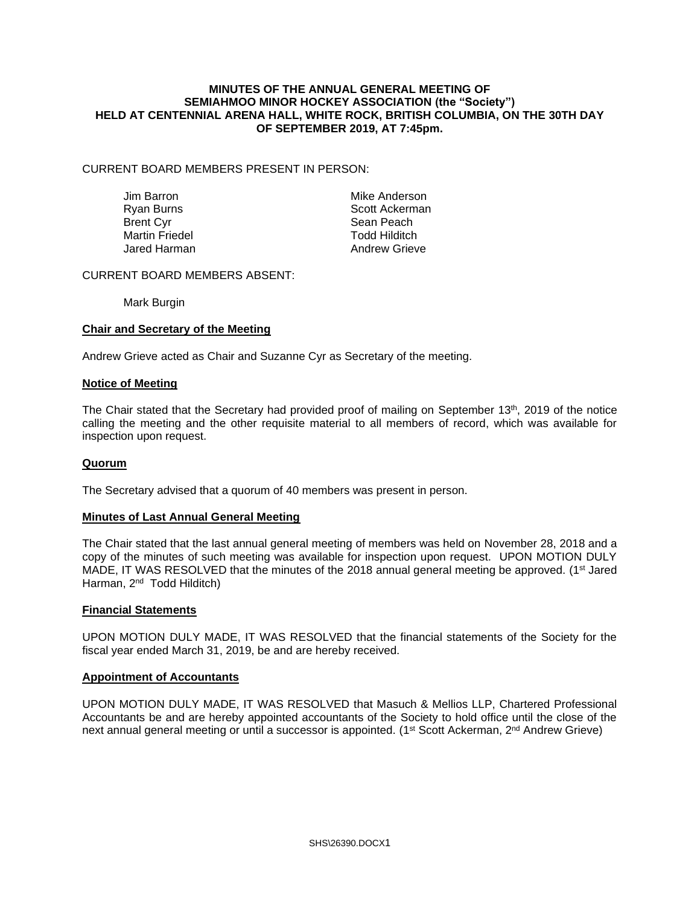#### **MINUTES OF THE ANNUAL GENERAL MEETING OF SEMIAHMOO MINOR HOCKEY ASSOCIATION (the "Society") HELD AT CENTENNIAL ARENA HALL, WHITE ROCK, BRITISH COLUMBIA, ON THE 30TH DAY OF SEPTEMBER 2019, AT 7:45pm.**

## CURRENT BOARD MEMBERS PRESENT IN PERSON:

Martin Friedel

Jim Barron **Mike Anderson** Ryan Burns Scott Ackerman Brent Cyr **Brent Cyr Sean Peach**<br>
Martin Friedel **Sean Peach**<br>
Martin Friedel **Sean Albert College College College College College College College College College College Co** Jared Harman **Andrew Grieve** 

## CURRENT BOARD MEMBERS ABSENT:

Mark Burgin

## **Chair and Secretary of the Meeting**

Andrew Grieve acted as Chair and Suzanne Cyr as Secretary of the meeting.

#### **Notice of Meeting**

The Chair stated that the Secretary had provided proof of mailing on September 13<sup>th</sup>, 2019 of the notice calling the meeting and the other requisite material to all members of record, which was available for inspection upon request.

#### **Quorum**

The Secretary advised that a quorum of 40 members was present in person.

#### **Minutes of Last Annual General Meeting**

The Chair stated that the last annual general meeting of members was held on November 28, 2018 and a copy of the minutes of such meeting was available for inspection upon request. UPON MOTION DULY MADE, IT WAS RESOLVED that the minutes of the 2018 annual general meeting be approved. (1<sup>st</sup> Jared Harman, 2<sup>nd</sup> Todd Hilditch)

#### **Financial Statements**

UPON MOTION DULY MADE, IT WAS RESOLVED that the financial statements of the Society for the fiscal year ended March 31, 2019, be and are hereby received.

#### **Appointment of Accountants**

UPON MOTION DULY MADE, IT WAS RESOLVED that Masuch & Mellios LLP, Chartered Professional Accountants be and are hereby appointed accountants of the Society to hold office until the close of the next annual general meeting or until a successor is appointed. (1<sup>st</sup> Scott Ackerman, 2<sup>nd</sup> Andrew Grieve)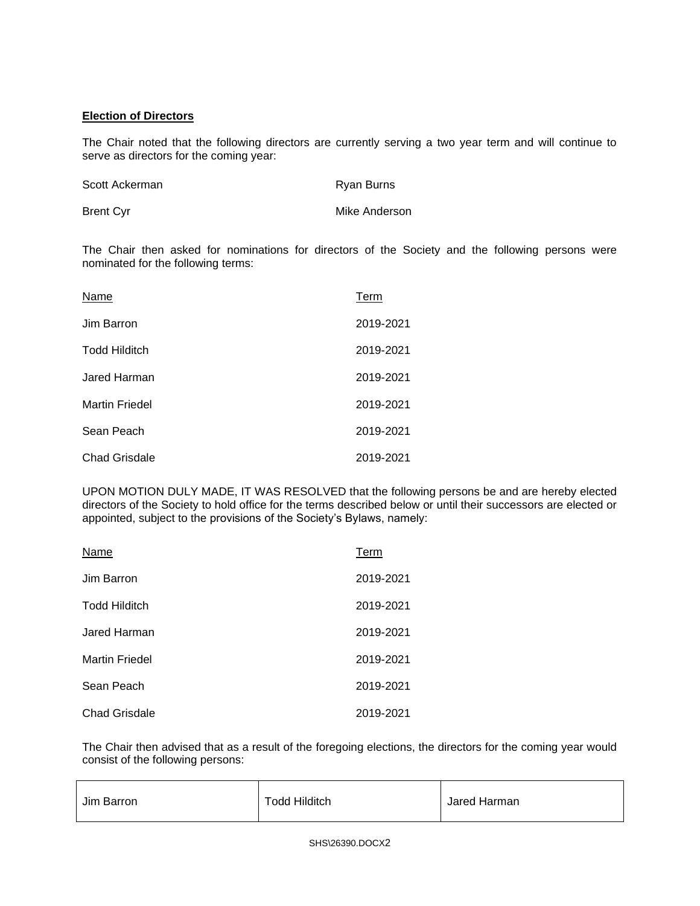## **Election of Directors**

The Chair noted that the following directors are currently serving a two year term and will continue to serve as directors for the coming year:

| Scott Ackerman | Ryan Burns    |
|----------------|---------------|
| Brent Cyr      | Mike Anderson |

The Chair then asked for nominations for directors of the Society and the following persons were nominated for the following terms:

| Name                  | Term      |
|-----------------------|-----------|
| Jim Barron            | 2019-2021 |
| <b>Todd Hilditch</b>  | 2019-2021 |
| Jared Harman          | 2019-2021 |
| <b>Martin Friedel</b> | 2019-2021 |
| Sean Peach            | 2019-2021 |
| <b>Chad Grisdale</b>  | 2019-2021 |

UPON MOTION DULY MADE, IT WAS RESOLVED that the following persons be and are hereby elected directors of the Society to hold office for the terms described below or until their successors are elected or appointed, subject to the provisions of the Society's Bylaws, namely:

| Name                  | Term      |
|-----------------------|-----------|
| Jim Barron            | 2019-2021 |
| <b>Todd Hilditch</b>  | 2019-2021 |
| Jared Harman          | 2019-2021 |
| <b>Martin Friedel</b> | 2019-2021 |
| Sean Peach            | 2019-2021 |
| <b>Chad Grisdale</b>  | 2019-2021 |

The Chair then advised that as a result of the foregoing elections, the directors for the coming year would consist of the following persons:

| Jim Barron | <b>Todd Hilditch</b> | Jared Harman |
|------------|----------------------|--------------|
|------------|----------------------|--------------|